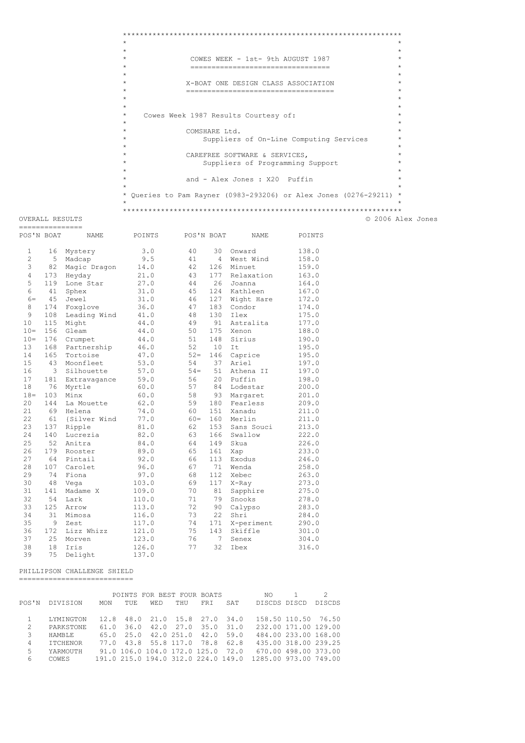```
\star\star\star\starCOWES WEEK - 1st- 9th AUGUST 1987
                                                            \rightarrow\star\rightarrow=============================
\star\star\rightarrowX-BOAT ONE DESIGN CLASS ASSOCIATION
\star--------------------------------------
                                                            \star\rightarrow\pm^\starCowes Week 1987 Results Courtesy of:
\star\starCOMSHARE Ltd.
\starSuppliers of On-Line Computing Services
\starCAREFREE SOFTWARE & SERVICES,
                 Suppliers of Programming Support
             and - Alex Jones : X20 Puffin
* Queries to Pam Rayner (0983-293206) or Alex Jones (0276-29211) *
\circ
```
OVERALL RESULTS ===============

|  | 0 2006 Alex Jones |
|--|-------------------|
|  |                   |

| POS'N BOAT     |     | NAME         | POINTS | POS'N BOAT |     | <b>NAME</b> | POINTS |
|----------------|-----|--------------|--------|------------|-----|-------------|--------|
| $\mathbf{1}$   | 16  | Mystery      | 3.0    | 40         | 30  | Onward      | 138.0  |
| $\overline{c}$ | 5   | Madcap       | 9.5    | 41         | 4   | West Wind   | 158.0  |
| 3              | 82  | Magic Dragon | 14.0   | 42         | 126 | Minuet      | 159.0  |
| $\overline{4}$ | 173 | Heyday       | 21.0   | 43         | 177 | Relaxation  | 163.0  |
| 5              | 119 | Lone Star    | 27.0   | 44         | 26  | Joanna      | 164.0  |
| 6              | 41  | Sphex        | 31.0   | 45         | 124 | Kathleen    | 167.0  |
| $6=$           | 45  | Jewel        | 31.0   | 46         | 127 | Wight Hare  | 172.0  |
| 8              | 174 | Foxglove     | 36.0   | 47         | 183 | Condor      | 174.0  |
| 9              | 108 | Leading Wind | 41.0   | 48         | 130 | Ilex        | 175.0  |
| 10             | 115 | Might        | 44.0   | 49         | 91  | Astralita   | 177.0  |
| $10 =$         | 156 | Gleam        | 44.0   | 50         | 175 | Xenon       | 188.0  |
| $10 =$         | 176 | Crumpet      | 44.0   | 51         | 148 | Sirius      | 190.0  |
| 13             | 168 | Partnership  | 46.0   | 52         | 10  | Tt.         | 195.0  |
| 14             | 165 | Tortoise     | 47.0   | $52 =$     | 146 | Caprice     | 195.0  |
| 15             | 43  | Moonfleet    | 53.0   | 54         | 37  | Ariel       | 197.0  |
| 16             | 3   | Silhouette   | 57.0   | $54 =$     | 51  | Athena II   | 197.0  |
| 17             | 181 | Extravagance | 59.0   | 56         | 20  | Puffin      | 198.0  |
| 18             | 76  | Myrtle       | 60.0   | 57         | 84  | Lodestar    | 200.0  |
| $18 =$         | 103 | Minx         | 60.0   | 58         | 93  | Margaret    | 201.0  |
| 20             | 144 | La Mouette   | 62.0   | 59         | 180 | Fearless    | 209.0  |
| 21             | 69  | Helena       | 74.0   | 60         | 151 | Xanadu      | 211.0  |
| 22             | 61  | {Silver Wind | 77.0   | $60 =$     | 160 | Merlin      | 211.0  |
| 23             | 137 | Ripple       | 81.0   | 62         | 153 | Sans Souci  | 213.0  |
| 24             | 140 | Lucrezia     | 82.0   | 63         | 166 | Swallow     | 222.0  |
| 25             | 52  | Anitra       | 84.0   | 64         | 149 | Skua        | 226.0  |
| 26             | 179 | Rooster      | 89.0   | 65         | 161 | Xap         | 233.0  |
| 27             | 64  | Pintail      | 92.0   | 66         | 113 | Exodus      | 246.0  |
| 28             | 107 | Carolet      | 96.0   | 67         | 71  | Wenda       | 258.0  |
| 29             | 74  | Fiona        | 97.0   | 68         | 112 | Xebec       | 263.0  |
| 30             | 48  | Vega         | 103.0  | 69         | 117 | X-Ray       | 273.0  |
| 31             | 141 | Madame X     | 109.0  | 70         | 81  | Sapphire    | 275.0  |
| 32             | 54  | Lark         | 110.0  | 71         | 79  | Snooks      | 278.0  |
| 33             | 125 | Arrow        | 113.0  | 72         | 90  | Calypso     | 283.0  |
| 34             | 31  | Mimosa       | 116.0  | 73         | 22  | Shri        | 284.0  |
| 35             | 9   | Zest         | 117.0  | 74         | 171 | X-periment  | 290.0  |
| 36             | 172 | Lizz Whizz   | 121.0  | 75         | 143 | Skiffle     | 301.0  |
| 37             | 25  | Morven       | 123.0  | 76         | 7   | Senex       | 304.0  |
| 38             | 18  | Iris         | 126.0  | 77         | 32  | Ibex        | 316.0  |
| 39             | 75  | Delight      | 137.0  |            |     |             |        |

#### PHILLIPSON CHALLENGE SHIELD

============================

|               |                 |            |      |            | POINTS FOR BEST FOUR BOATS          |      |      | NO.                   |                      |               |
|---------------|-----------------|------------|------|------------|-------------------------------------|------|------|-----------------------|----------------------|---------------|
| POS'N         | DIVISION        | <b>MON</b> | TUE. | <b>WED</b> | THU                                 | FRT  | SAT  | DISCDS DISCD          |                      | <b>DISCDS</b> |
|               |                 |            |      |            |                                     |      |      |                       |                      |               |
|               | LYMINGTON       | 12.8       |      |            | 48.0 21.0 15.8 27.0 34.0            |      |      |                       | 158.50 110.50 76.50  |               |
| $\mathcal{L}$ | PARKSTONE       | 61.0       | 36.0 |            | $42.0$ $27.0$                       | 35.0 | 31.0 |                       | 232.00 171.00 129.00 |               |
| 3             | <b>HAMBLE</b>   | 65.0       | 25.0 |            | 42.0 251.0 42.0                     |      | 59.0 |                       | 484.00 233.00 168.00 |               |
| 4             | <b>TTCHENOR</b> | 77.0       |      |            | 43.8 55.8 117.0 78.8 62.8           |      |      |                       | 435.00 318.00 239.25 |               |
| 5             | YARMOUTH        |            |      |            | 91.0 106.0 104.0 172.0 125.0 72.0   |      |      |                       | 670.00 498.00 373.00 |               |
| 6             | <b>COWES</b>    |            |      |            | 191.0 215.0 194.0 312.0 224.0 149.0 |      |      | 1285.00 973.00 749.00 |                      |               |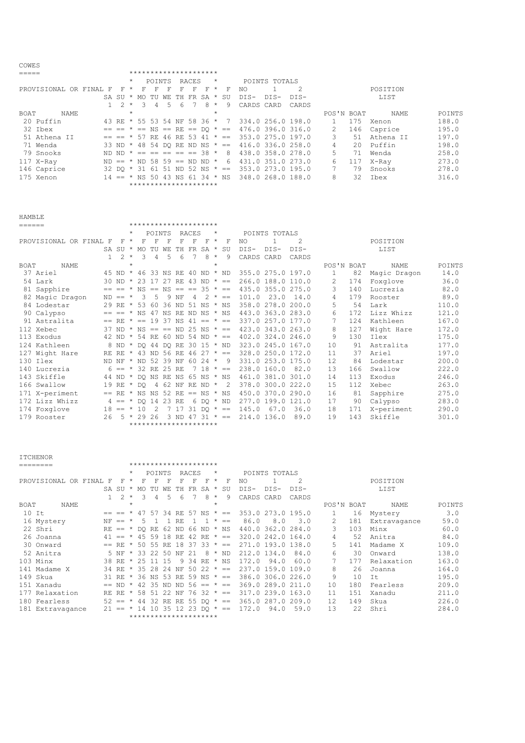|             |                        |  |         |             |                |              |   | *********************          |       |         |   |                                                            |               |       |            |     |             |        |
|-------------|------------------------|--|---------|-------------|----------------|--------------|---|--------------------------------|-------|---------|---|------------------------------------------------------------|---------------|-------|------------|-----|-------------|--------|
|             |                        |  | $\star$ |             | POINTS         |              |   | RACES                          |       | $\star$ |   |                                                            | POINTS TOTALS |       |            |     |             |        |
|             | PROVISIONAL OR FINAL F |  |         | $F^*$ $F^-$ | -F             | $\mathbf{F}$ | F | F.                             | - F I | $\star$ | F | NO.                                                        |               |       |            |     | POSITION    |        |
|             |                        |  |         |             |                |              |   | SA SU * MO TU WE TH FR SA * SU |       |         |   | DTS-                                                       | DTS-          | DTS-  |            |     | LIST        |        |
|             |                        |  |         | $1 \t2 \t3$ | $\overline{4}$ | .5           |   | 678*                           |       |         | 9 | CARDS CARD                                                 |               | CARDS |            |     |             |        |
| <b>BOAT</b> | NAME                   |  | $\star$ |             |                |              |   |                                |       | $\star$ |   |                                                            |               |       | POS'N BOAT |     | NAME        | POINTS |
|             | 20 Puffin              |  |         |             |                |              |   |                                |       |         |   | 43 RE * 55 53 54 NF 58 36 * 7 334.0 256.0 198.0            |               |       |            | 175 | Xenon       | 188.0  |
|             | 32 Ibex                |  |         |             |                |              |   |                                |       |         |   | $== == * == NS == RE == DO * == 476.0 396.0 316.0$         |               |       |            |     | 146 Caprice | 195.0  |
|             | 51 Athena II           |  |         |             |                |              |   |                                |       |         |   | $==$ $==$ $*$ 57 RE 46 RE 53 41 $*$ $==$ 353.0 275.0 197.0 |               |       | 3.         | 51  | Athena II   | 197.0  |
|             | 71 Wenda               |  |         |             |                |              |   |                                |       |         |   | 33 ND * 48 54 DO RE ND NS * == 416.0 336.0 258.0           |               |       |            | 20  | Puffin      | 198.0  |
|             | 79 Snooks              |  |         |             |                |              |   |                                |       |         |   | ND ND $* == == == == == 38 * 8 438.0 358.0 278.0$          |               |       | 5.         | 71  | Wenda       | 258.0  |
|             | 117 X-Ray              |  |         |             |                |              |   |                                |       |         |   | ND == * ND 58 59 == ND ND * 6 431.0 351.0 273.0            |               |       | 6          | 117 | X-Ray       | 273.0  |
|             | 146 Caprice            |  |         |             |                |              |   |                                |       |         |   | 32 DO * 31 61 51 ND 52 NS * == 353.0 273.0 195.0           |               |       |            | 79  | Snooks      | 278.0  |
|             | 175 Xenon              |  |         |             |                |              |   |                                |       |         |   | $14 = * NS 50 43 NS 61 34 * NS 348.0 268.0 188.0$          |               |       | 8          | 32  | Ibex        | 316.0  |
|             |                        |  |         |             |                |              |   | *********************          |       |         |   |                                                            |               |       |            |     |             |        |

| <b>HAMBLE</b> |                        |    |                                  |         |   |                |    |   |       |                       |         |                                      |                                                    |               |                   |                   |     |              |        |
|---------------|------------------------|----|----------------------------------|---------|---|----------------|----|---|-------|-----------------------|---------|--------------------------------------|----------------------------------------------------|---------------|-------------------|-------------------|-----|--------------|--------|
| ======        |                        |    |                                  |         |   |                |    |   |       | ********************* |         |                                      |                                                    |               |                   |                   |     |              |        |
|               |                        |    |                                  | $\star$ |   | POINTS         |    |   | RACES |                       | $\star$ |                                      |                                                    | POINTS TOTALS |                   |                   |     |              |        |
|               | PROVISIONAL OR FINAL F |    | F                                | $\star$ | F | F              | F  | F | F     | F                     | $\star$ | F                                    | NO.                                                |               | $\mathfrak{D}$    |                   |     | POSITION     |        |
|               |                        |    | SA SU * MO TU WE TH FR SA * SU   |         |   |                |    |   |       |                       |         |                                      | $DIS-$                                             | DIS-          | $DIS-$            |                   |     | LIST         |        |
|               |                        |    | $\mathcal{L}$                    | $\star$ | 3 | $\overline{4}$ | .5 | 6 | 7     | 8                     | $\star$ | 9                                    | CARDS CARD                                         |               | CARDS             |                   |     |              |        |
| BOAT          | NAME                   |    |                                  | $\star$ |   |                |    |   |       |                       | $\star$ |                                      |                                                    |               |                   | POS'N BOAT        |     | NAME         | POINTS |
|               | 37 Ariel               |    |                                  |         |   |                |    |   |       |                       |         | 45 ND * 46 33 NS RE 40 ND * ND       | 355.0 275.0 197.0                                  |               |                   | $\mathbf{1}$      | 82  | Magic Dragon | 14.0   |
|               | 54 Lark                |    |                                  |         |   |                |    |   |       |                       |         | 30 ND * 23 17 27 RE 43 ND * ==       |                                                    |               | 266.0 188.0 110.0 | 2                 | 174 | Foxglove     | 36.0   |
|               | 81 Sapphire            |    |                                  |         |   |                |    |   |       |                       |         |                                      | $== == * NS == NS == == 35 * == 435.0 355.0 275.0$ |               |                   | 3                 | 140 | Lucrezia     | 82.0   |
|               | 82 Magic Dragon        |    | $ND == *$                        |         |   | 3 5 9 NF       |    |   |       |                       |         |                                      | $4 \quad 2 \times 3 = 101.0$                       | 23.0          | 14.0              | 4                 | 179 | Rooster      | 89.0   |
|               | 84 Lodestar            |    |                                  |         |   |                |    |   |       |                       |         |                                      | 29 RE * 53 60 36 ND 51 NS * NS 358.0 278.0 200.0   |               |                   | 5                 | 54  | Lark         | 110.0  |
|               | 90 Calypso             |    | $== == * NS 47 NS RE ND NS * NS$ |         |   |                |    |   |       |                       |         |                                      |                                                    |               | 443.0 363.0 283.0 | 6                 | 172 | Lizz Whizz   | 121.0  |
|               | 91 Astralita           |    |                                  |         |   |                |    |   |       |                       |         | $==$ RE $* == 19$ 37 NS 41 == $* ==$ |                                                    |               | 337.0 257.0 177.0 | 7                 | 124 | Kathleen     | 167.0  |
|               | 112 Xebec              |    |                                  |         |   |                |    |   |       |                       |         |                                      | 37 ND * NS == == ND 25 NS * == 423.0 343.0 263.0   |               |                   | 8                 | 127 | Wight Hare   | 172.0  |
|               | 113 Exodus             |    |                                  |         |   |                |    |   |       |                       |         |                                      | 42 ND * 54 RE 60 ND 54 ND * == $402.0$ 324.0 246.0 |               |                   | 9                 | 130 | Ilex         | 175.0  |
|               | 124 Kathleen           |    |                                  |         |   |                |    |   |       |                       |         |                                      | 8 ND * DO 44 DO RE 30 15 * ND 323.0 245.0 167.0    |               |                   | 10                | 91  | Astralita    | 177.0  |
|               | 127 Wight Hare         |    |                                  |         |   |                |    |   |       |                       |         |                                      | RE RE * 43 ND 56 RE 46 27 * == 328.0 250.0 172.0   |               |                   | 11                | 37  | Ariel        | 197.0  |
|               | 130 Ilex               |    |                                  |         |   |                |    |   |       |                       |         | ND NF * ND 52 39 NF 60 24 * 9        | 331.0 253.0 175.0                                  |               |                   | $12 \overline{ }$ | 84  | Lodestar     | 200.0  |
|               | 140 Lucrezia           |    | $6 == * 32 RE 25 RE$             |         |   |                |    |   |       |                       |         |                                      | $718 * == 238.0160.082.0$                          |               |                   | 13                | 166 | Swallow      | 222.0  |
|               | 143 Skiffle            |    |                                  |         |   |                |    |   |       |                       |         | 44 ND * DO NS RE NS 65 NS * NS       |                                                    |               | 461.0 381.0 301.0 | 14                | 113 | Exodus       | 246.0  |
|               | 166 Swallow            |    |                                  |         |   |                |    |   |       |                       |         |                                      | 19 RE * DO 4 62 NF RE ND * 2 378.0 300.0 222.0     |               |                   | 1.5               | 112 | Xebec        | 263.0  |
|               | 171 X-periment         |    |                                  |         |   |                |    |   |       |                       |         | $== RE * NS NS 52 RE == NS * NS$     | 450.0 370.0 290.0                                  |               |                   | 16                | 81  | Sapphire     | 275.0  |
|               | 172 Lizz Whizz         |    | $4 == * DO 14 23 RE$             |         |   |                |    |   |       |                       |         | 6 DO * ND                            |                                                    |               | 277.0 199.0 121.0 | 17                | 90  | Calypso      | 283.0  |
|               | 174 Foxglove           |    | $18 == * 10$                     |         |   | $\overline{2}$ |    |   |       |                       |         | 7 17 31 DQ * ==                      | 145.0                                              | 67.0          | 36.0              | 18                | 171 | X-periment   | 290.0  |
|               | 179 Rooster            | 26 |                                  |         |   | $5 * 29 26$    |    |   |       |                       |         | $3 \text{ ND } 47 \text{ 31 } * ==$  | 214.0 136.0                                        |               | 89.0              | 19                | 143 | Skiffle      | 301.0  |
|               |                        |    |                                  |         |   |                |    |   |       | ********************* |         |                                      |                                                    |               |                   |                   |     |              |        |

|         | <b>ITCHENOR</b>        |    |                |         |                |                  |      |                                |                |     |         |             |             |               |                   |            |                 |              |        |
|---------|------------------------|----|----------------|---------|----------------|------------------|------|--------------------------------|----------------|-----|---------|-------------|-------------|---------------|-------------------|------------|-----------------|--------------|--------|
|         |                        |    |                |         |                |                  |      | *********************          |                |     |         |             |             |               |                   |            |                 |              |        |
|         |                        |    |                | $\star$ |                | POINTS           |      |                                | RACES          |     | $\star$ |             |             | POINTS TOTALS |                   |            |                 |              |        |
|         | PROVISIONAL OR FINAL F |    | F              | $\star$ | F              | F                | F    | F                              | F              | F   | $\star$ | F           | NO.         |               | 2                 |            |                 | POSITION     |        |
|         |                        |    | $SA$ $SIJ$ $*$ |         | MO             | TU               | WЕ   | TH                             | FR SA          |     | $\star$ | SU          | DIS-        | DIS-          | DTS-              |            |                 | LIST         |        |
|         |                        |    |                | $2 *$   | $\overline{3}$ | $\overline{4}$   | .5   | 6                              |                | 8   | $\star$ | 9           | CARDS CARD  |               | CARDS             |            |                 |              |        |
| BOAT    | NAME                   |    |                | $\star$ |                |                  |      |                                |                |     | $\star$ |             |             |               |                   | POS'N BOAT |                 | NAME         | POINTS |
| $10$ It |                        |    | $== = =$       | $\star$ | 47             |                  |      | 57 34 RE 57 NS $* ==$          |                |     |         |             |             |               | 353.0 273.0 195.0 | ı          | 16              | Mystery      | 3.0    |
|         | 16 Mystery             | ΝF | $=$ $+$        |         | 5              |                  |      | RE                             |                |     | $\star$ | $=$         | 86.0        | 8.0           | 3.0               | 2          | 181             | Extravagance | 59.0   |
|         | 22 Shri                |    | $RE =$ $*$     |         |                |                  |      | DO RE 62 ND 66 ND * NS         |                |     |         |             |             |               | 440.0 362.0 284.0 | 3          | 103             | Minx         | 60.0   |
|         | 26 Joanna              |    |                |         |                |                  |      | 41 == * 45 59 18 RE 42 RE * == |                |     |         |             |             |               | 320.0 242.0 164.0 | 4          | 52              | Anitra       | 84.0   |
|         | 30 Onward              |    | $==$ RF.       | $\star$ |                |                  |      | 50 55 RE 18 37 33              |                |     |         | $\star$ $=$ |             |               | 271.0 193.0 138.0 | .5         | 141             | Madame X     | 109.0  |
|         | 52 Anitra              |    | 5 NF           | $\star$ | 33.            | 22               | - 50 | NF                             | -21            | -8  | $\star$ | ND          | 212.0 134.0 |               | 84.0              | 6          | 30              | Onward       | 138.0  |
|         | 103 Minx               |    | 38 RF          | $\star$ | 2.5            | 11 15            |      | 9                              | -34            | RF. |         | * NS        | 172.0       | 94.0          | 60.0              | 7          | 177             | Relaxation   | 163.0  |
|         | 141 Madame X           |    |                |         |                | 34 RE * 35 28 24 |      | NF 50 22 $* ==$                |                |     |         |             |             |               | 237.0 159.0 109.0 | 8          | 26              | Joanna       | 164.0  |
|         | 149 Skua               |    |                |         |                |                  |      | 31 RE * 36 NS 53 RE 59 NS * == |                |     |         |             |             |               | 386.0 306.0 226.0 | 9          | 10 <sup>°</sup> | It           | 195.0  |
|         | 151 Xanadu             |    | $==$ ND        | $\star$ |                |                  |      | 42 35 ND ND 56 == $* ==$       |                |     |         |             |             |               | 369.0 289.0 211.0 | 10         | 180             | Fearless     | 209.0  |
|         | 177 Relaxation         |    | RE RE          | $\star$ |                | 58 51            | 2.2  | NF                             | $76.32 \div =$ |     |         |             |             |               | 317.0 239.0 163.0 | 11         | 151             | Xanadu       | 211.0  |
|         | 180 Fearless           |    | $52 =$         | $\star$ |                |                  |      | 44 32 RE RE 55 DO * ==         |                |     |         |             |             |               | 365.0 287.0 209.0 | 12         | 149             | Skua         | 226.0  |
|         | 181 Extravagance       |    | $21 ==$        | $\star$ |                |                  |      | 14 10 35 12 23 DO * ==         |                |     |         |             | 172.0       | 94.0          | 59.0              | 13         | 2.2.            | Shri         | 284.0  |
|         |                        |    |                |         |                |                  |      | *********************          |                |     |         |             |             |               |                   |            |                 |              |        |

COWES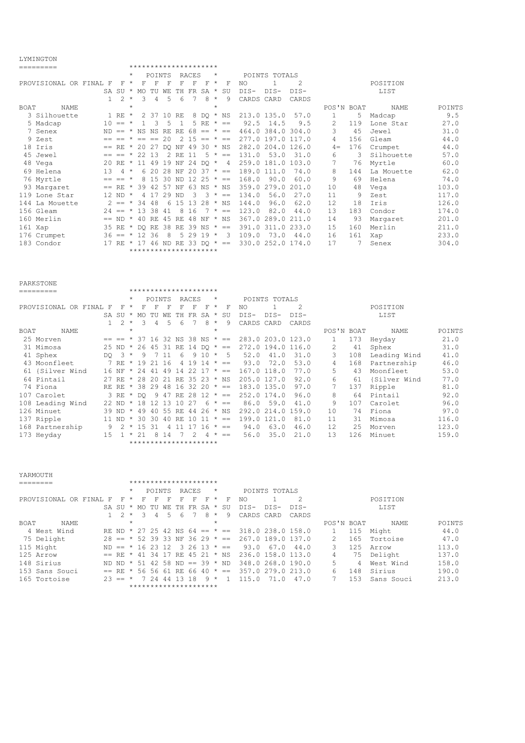### LYMINGTON

|             | TT⊼TTIA T∩TA           |                 |                   |           |                         |                   |            |                                  |          |                         |          |                                    |                   |               |                   |               |     |             |        |
|-------------|------------------------|-----------------|-------------------|-----------|-------------------------|-------------------|------------|----------------------------------|----------|-------------------------|----------|------------------------------------|-------------------|---------------|-------------------|---------------|-----|-------------|--------|
|             |                        |                 |                   |           |                         |                   |            | *********************            |          |                         |          |                                    |                   |               |                   |               |     |             |        |
|             |                        |                 |                   | $\star$   |                         | POINTS            |            |                                  | RACES    |                         | $^\star$ |                                    |                   | POINTS TOTALS |                   |               |     |             |        |
|             | PROVISIONAL OR FINAL F |                 |                   | $F \star$ | F                       | F                 | F          | F                                | F        | F                       | $^\star$ | F                                  | NO                |               | $\mathcal{L}$     |               |     | POSITION    |        |
|             |                        |                 | $SA$ $SIJ$ $*$    |           |                         | MO TU             | WF.        | TH                               | FR SA *  |                         |          | SU                                 | $DTS-$            | DTS-          | DTS-              |               |     | LIST        |        |
|             |                        | $\mathbf{1}$    |                   | $2 *$     | $\overline{\mathbf{3}}$ | 4                 | .5         | 6                                |          | 8                       | $\star$  | 9                                  | CARDS CARD        |               | CARDS             |               |     |             |        |
| <b>BOAT</b> | <b>NAME</b>            |                 |                   | $\star$   |                         |                   |            |                                  |          |                         | $\star$  |                                    |                   |               |                   | POS'N BOAT    |     | <b>NAME</b> | POINTS |
|             | 3 Silhouette           |                 | $1$ RE $*$        |           |                         |                   | 2 37 10 RE |                                  |          | 8 DQ * NS               |          |                                    | 213.0 135.0       |               | 57.0              | 1.            | 5.  | Madcap      | 9.5    |
|             | 5 Madcap               |                 | $10 == *$         |           | $\mathbf{1}$            | 3                 |            | $5 \quad 1$                      |          | 5 RE                    | $\star$  | $= -$                              |                   | 92.5 14.5     | 9.5               | $\mathcal{L}$ | 119 | Lone Star   | 27.0   |
|             | 7 Senex                |                 |                   |           |                         |                   |            |                                  |          |                         |          | ND == $*$ NS NS RE RE 68 == $*$ == |                   |               | 464.0 384.0 304.0 | 3             | 45  | Jewel       | 31.0   |
|             | 9 Zest                 |                 |                   |           |                         | $== == * == == ?$ |            |                                  |          |                         |          | $2 \t15 == * ==$                   | 277.0 197.0 117.0 |               |                   | 4             | 156 | Gleam       | 44.0   |
|             | 18 Iris                |                 |                   |           |                         |                   |            | $==$ RE * 20 27 DO NF 49 30 * NS |          |                         |          |                                    |                   |               | 282.0 204.0 126.0 | $4 =$         | 176 | Crumpet     | 44.0   |
|             | 45 Jewel               |                 | $== == *$         |           | 22 13                   |                   |            | 2 RE                             | $-11$    |                         |          | $5 * =$                            | 131.0             | 53.0          | 31.0              | 6             | -3  | Silhouette  | 57.0   |
|             | 48 Vega                |                 | $20$ RF $*$       |           |                         |                   |            | 11 49 19 NF 24 DO *              |          |                         |          | $\overline{4}$                     |                   |               | 259.0 181.0 103.0 | 7             | 76  | Myrtle      | 60.0   |
|             | 69 Helena              | 13 <sup>°</sup> |                   | $4 *$     |                         |                   |            | 6 20 28 NF 20 37 $* ==$          |          |                         |          |                                    | 189.0 111.0       |               | 74.0              | 8             | 144 | La Mouette  | 62.0   |
|             | 76 Myrtle              |                 | $== == *$         |           |                         |                   |            | 8 15 30 ND 12 25 $* ==$          |          |                         |          |                                    | 168.0             | 90.0          | 60.0              | 9             | 69  | Helena      | 74.0   |
|             | 93 Margaret            |                 | $==$ RE $*$       |           |                         |                   |            | 39 42 57 NF 63 NS * NS           |          |                         |          |                                    |                   |               | 359.0 279.0 201.0 | 10            | 48  | Vega        | 103.0  |
|             | 119 Lone Star          |                 | $12 \text{ ND}$ * |           |                         |                   | 4 17 29 ND |                                  | 3        | $\overline{\mathbf{3}}$ | $\star$  | $= -$                              | 134.0             | 56.0          | 27.0              | 11            | 9   | Zest        | 117.0  |
|             | 144 La Mouette         |                 |                   |           |                         | $2 == * 3448$     |            | 6 15 13 28 * NS                  |          |                         |          |                                    | 144.0             | 96.0          | 62.0              | 12.           | 18  | Iris        | 126.0  |
|             | 156 Gleam              |                 | $24 == * 13.38$   |           |                         |                   | 41         | 8                                | 16       |                         | $\star$  | $= -$                              | 123.0             | 82.0          | 44.0              | 13            | 183 | Condor      | 174.0  |
|             | 160 Merlin             |                 | $==$ ND $*$       |           |                         |                   |            | 40 RE 45 RE 48 NF * NS           |          |                         |          |                                    |                   |               | 367.0 289.0 211.0 | 14            | 93  | Margaret    | 201.0  |
|             | 161 Xap                |                 | 35 RE *           |           |                         |                   |            | DO RE 38 RE 39 NS $* ==$         |          |                         |          |                                    |                   |               | 391.0 311.0 233.0 | 15            | 160 | Merlin      | 211.0  |
|             | 176 Crumpet            |                 |                   |           |                         | $36 == * 1236$    | - 8        |                                  | $52919*$ |                         |          | $\overline{\phantom{a}}$           | 109.0             | 73.0          | 44.0              | 16            | 161 | Xap         | 233.0  |
|             | 183 Condor             |                 |                   |           |                         |                   |            |                                  |          |                         |          | 17 RE * 17 46 ND RE 33 DO * ==     | 330.0 252.0 174.0 |               |                   | 17            | 7   | Senex       | 304.0  |
|             |                        |                 |                   |           |                         |                   |            | *********************            |          |                         |          |                                    |                   |               |                   |               |     |             |        |

|      | PARKSTONE              |              |                         |         |     |        |       |                          |         |         |            |         |        |               |                   |                |     |              |        |
|------|------------------------|--------------|-------------------------|---------|-----|--------|-------|--------------------------|---------|---------|------------|---------|--------|---------------|-------------------|----------------|-----|--------------|--------|
|      | =========              |              |                         |         |     |        |       | *********************    |         |         |            |         |        |               |                   |                |     |              |        |
|      |                        |              |                         | $\star$ |     | POINTS |       |                          | RACES   |         | $^{\star}$ |         |        | POINTS TOTALS |                   |                |     |              |        |
|      | PROVISIONAL OR FINAL F |              | F                       | $\star$ | F   | F      | F     | F                        | F       | F       | $^{\star}$ | F       | NO.    |               | $\mathfrak{D}$    |                |     | POSITION     |        |
|      |                        |              | SA SU                   | $\star$ | MO  |        | WF.   | TН                       | FR      | SA      | $\star$    | SU      | $DTS-$ | $DTS-$        | $DTS-$            |                |     | LIST         |        |
|      |                        | $\mathbf{1}$ | $\mathcal{L}$           | $\star$ | २   | 4      | 5     | 6                        |         | 8       | $^{\star}$ | 9       | CARDS  | CARD          | CARDS             |                |     |              |        |
| BOAT | NAME                   |              |                         | $\star$ |     |        |       |                          |         |         | $\star$    |         |        |               |                   | POS'N BOAT     |     | NAME         | POINTS |
|      | 25 Morven              |              | $== == *$               |         |     |        |       | 37 16 32 NS 38 NS $* ==$ |         |         |            |         |        |               | 283.0 203.0 123.0 | $\mathbf{1}$   | 173 | Heyday       | 21.0   |
|      | 31 Mimosa              |              | $25 \text{ ND}$ *       |         |     |        |       | 26 45 31 RE 14 DO * ==   |         |         |            |         |        |               | 272.0 194.0 116.0 | $\overline{2}$ | 41  | Sphex        | 31.0   |
|      | 41 Sphex               | DO.          | $\overline{\mathbf{3}}$ | $\star$ | 9   |        | -11   | 6                        | 9       | 10      | $\star$    | .5      | 52.0   | 41.0          | 31.0              | 3.             | 108 | Leading Wind | 41.0   |
|      | 43 Moonfleet           |              | 7 RE                    | $\star$ | 19  | 21     | 16    |                          | 4 19 14 |         | $\star$    | $=$     | 93.0   | 72.0          | 53.0              | 4              | 168 | Partnership  | 46.0   |
|      | 61 (Silver Wind        |              | 16 NF                   | $\star$ | 2.4 | 41     | 49    | 14                       | 22      | 17      | $\star$    | $=$     |        | 167.0 118.0   | 77.0              | 5.             | 43  | Moonfleet    | 53.0   |
|      | 64 Pintail             |              | 27 RE                   | $\star$ | 28  | 2.0    | - 2.1 | RE.                      | 35 23   |         |            | * NS    |        | 205.0 127.0   | 92.0              | 6              | 61  | {Silver Wind | 77.0   |
|      | 74 Fiona               |              | RE RE                   | $\star$ | 38  | 29     | 48    | 16                       | 32      | 2.0     | $\star$    | $=$     |        | 183.0 135.0   | 97.0              |                | 137 | Ripple       | 81.0   |
|      | 107 Carolet            |              | 3 RE                    | $\star$ | DO. |        | 9 4 7 | RE                       | 28      | $12 *$  |            | $= -$   |        | 252.0 174.0   | 96.0              | 8              | 64  | Pintail      | 92.0   |
|      | 108 Leading Wind       |              | 22 ND                   | $\star$ | 18  | 12     | 13    | 10                       | -27     |         |            | $6 * =$ | 86.0   | 59.0          | 41.0              | 9              | 107 | Carolet      | 96.0   |
|      | 126 Minuet             |              | 39 ND                   | $\star$ | 49  | 40     | 55    | RE                       | 44      | 26 * NS |            |         |        |               | 292.0 214.0 159.0 | 10             | 74  | Fiona        | 97.0   |
|      | 137 Ripple             |              | 11 ND                   | $\star$ | 30  | 30     | 4 N   | RE.                      | 10      |         | $\star$    | $=$     |        | 199.0 121.0   | 81.0              | 11             | 31  | Mimosa       | 116.0  |
|      | 168 Partnership        | 9            | 2.                      | $\star$ | 15  | 31     |       |                          |         | -6      | $\star$    | $=$     | 94.0   | 63.0          | 46.0              | 12.            | 2.5 | Morven       | 123.0  |
|      | 173 Heyday             | 1.5          |                         |         |     | 8      |       |                          |         |         | $\star$    | $=$     | 56.0   | 35.0          | 21.0              | 13             | 126 | Minuet       | 159.0  |
|      |                        |              |                         |         |     |        |       | *********************    |         |         |            |         |        |               |                   |                |     |              |        |

| YARMOUTH             |                                  |         |                              |                          |     |       |         |         |         |             |            |               |                   |            |     |            |        |
|----------------------|----------------------------------|---------|------------------------------|--------------------------|-----|-------|---------|---------|---------|-------------|------------|---------------|-------------------|------------|-----|------------|--------|
|                      |                                  |         | *********************        |                          |     |       |         |         |         |             |            |               |                   |            |     |            |        |
|                      |                                  | $\star$ |                              | POINTS                   |     |       | RACES   |         | $\star$ |             |            | POINTS TOTALS |                   |            |     |            |        |
| PROVISIONAL OR FINAL | F<br>F                           | $\star$ | F                            | F                        | F   | F     | F       | F       | $\star$ | F           | NO         |               |                   |            |     | POSITION   |        |
|                      | SA SU                            |         | * M∩                         | TU                       | WF. | TH    |         | FR SA * |         | SU          | $DTS-$     | $DTS-$        | DIS-              |            |     | LIST       |        |
|                      | $\mathcal{P}$                    | $\star$ | 3                            | 4                        | 5.  | 6     |         | 8       | $\star$ | 9           | CARDS CARD |               | CARDS             |            |     |            |        |
| NAME<br>BOAT         |                                  | $\star$ |                              |                          |     |       |         |         | $\star$ |             |            |               |                   | POS'N BOAT |     | NAME.      | POINTS |
| 4 West Wind          | RE ND * 27 25 42 NS 64 == * ==   |         |                              |                          |     |       |         |         |         |             |            |               | 318.0 238.0 158.0 |            | 115 | Might      | 44.0   |
| 75 Delight           | $28 == * 52$ 39 33 NF 36 29 * == |         |                              |                          |     |       |         |         |         |             |            |               | 267.0 189.0 137.0 |            | 165 | Tortoise   | 47.0   |
| 115 Might            | ND == $*$ 16 23 12               |         |                              |                          |     |       | 3 26 13 |         |         | $\star$ $=$ | 93.0       | 67.0          | 44.0              | 3.         | 125 | Arrow      | 113.0  |
| 125 Arrow            | $==$ RF.                         | $\star$ |                              | 41 34 17 RE 45 21 * NS   |     |       |         |         |         |             |            |               | 236.0 158.0 113.0 | 4          | 75  | Delight    | 137.0  |
| 148 Sirius           | ND ND                            |         | $*$ 51 42 58 ND == 39 $*$ ND |                          |     |       |         |         |         |             |            |               | 348.0 268.0 190.0 | 5.         | 4   | West Wind  | 158.0  |
| 153 Sans Souci       | $==$ RF.                         | $\star$ |                              | 56 56 61 RE 66 40 $* ==$ |     |       |         |         |         |             |            |               | 357.0 279.0 213.0 | 6          | 148 | Sirius     | 190.0  |
| 165 Tortoise         | $23 ==$                          | $\star$ |                              | 7 24                     | 44  | 13 18 |         | $9 *$   |         |             | 115.0      | 71.0          | 47.0              |            | 153 | Sans Souci | 213.0  |
|                      |                                  |         | *********************        |                          |     |       |         |         |         |             |            |               |                   |            |     |            |        |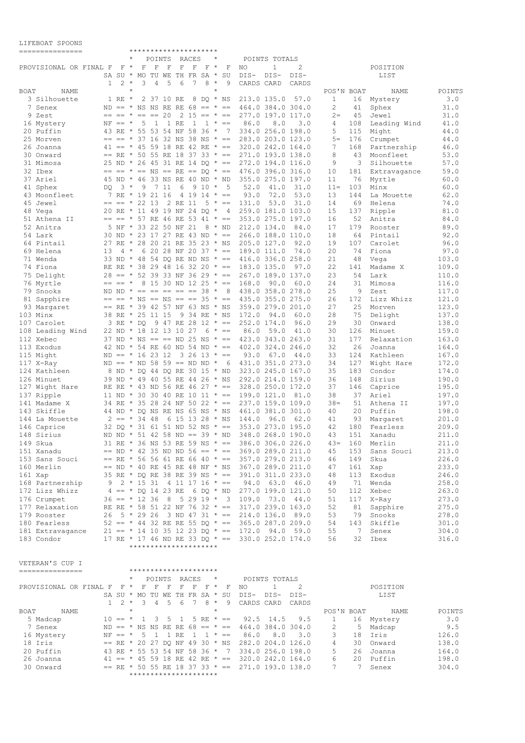# LIFEBOAT SPOONS

|      | TILEPORI PROOMS               |     |                                                                       |         |            |              |            |                              |            |                       |         |                                |                                                             |                     |                   |            |                |                  |                |
|------|-------------------------------|-----|-----------------------------------------------------------------------|---------|------------|--------------|------------|------------------------------|------------|-----------------------|---------|--------------------------------|-------------------------------------------------------------|---------------------|-------------------|------------|----------------|------------------|----------------|
|      | ---------------               |     |                                                                       |         |            |              |            | *********************        |            |                       |         |                                |                                                             | POINTS TOTALS       |                   |            |                |                  |                |
|      | PROVISIONAL OR FINAL F        |     | F                                                                     | $\star$ | F          | POINTS<br>F  | – F        | F                            | RACES<br>F |                       | $F$ *   | F                              | NO                                                          | 1                   | 2                 |            |                | POSITION         |                |
|      |                               |     | SA SU * MO TU WE TH FR SA *                                           |         |            |              |            |                              |            |                       |         | SU                             | DIS-                                                        | DIS-                | DIS-              |            |                | LIST             |                |
|      |                               | 1   | $2 *$                                                                 |         | 3          | 4            | 5          | 6                            | 7          |                       | $8 *$   | 9                              | CARDS CARD                                                  |                     | CARDS             |            |                |                  |                |
| BOAT | NAME                          |     |                                                                       | $\star$ |            |              |            |                              |            |                       | $\star$ |                                |                                                             |                     |                   | POS'N BOAT |                | NAME             | POINTS         |
|      | 3 Silhouette                  |     | $1 RE*$                                                               |         |            |              | 2 37 10 RE |                              |            | 8 DQ * NS             |         |                                |                                                             | 213.0 135.0         | 57.0              | 1          | 16             | Mystery          | 3.0            |
|      | 7 Senex                       |     | ND == $*$ NS NS RE RE 68 == $*$ ==                                    |         |            |              |            |                              |            |                       |         |                                |                                                             |                     | 464.0 384.0 304.0 | 2          | 41             | Sphex            | 31.0           |
|      | 9 Zest                        |     | $\begin{array}{ccc} \mathbf{m} & \mathbf{m} & \mathbf{m} \end{array}$ |         |            | $* == == 20$ |            |                              |            | $2 15 == * ==$        |         |                                |                                                             |                     | 277.0 197.0 117.0 | $2 =$      | 45             | Jewel            | 31.0           |
|      | 16 Mystery                    |     | $NF == *$                                                             |         | 5          | 1            |            | 1 RE                         | 1          |                       |         | $1 * ==$                       | 86.0                                                        | 8.0                 | 3.0               | 4          | 108            | Leading Wind     | 41.0           |
|      | 20 Puffin                     |     | 43 RE * 55 53 54 NF 58 36 *                                           |         |            |              |            |                              |            |                       |         | $\overline{7}$                 |                                                             |                     | 334.0 256.0 198.0 | 5          | 115            | Might            | 44.0           |
|      | 25 Morven                     |     | $== == * 37 16 32 NS 38 NS * ==$                                      |         |            |              |            |                              |            |                       |         |                                |                                                             |                     | 283.0 203.0 123.0 | $5 =$      | 176            | Crumpet          | 44.0           |
|      | 26 Joanna                     |     | 41 == * 45 59 18 RE 42 RE * ==                                        |         |            |              |            |                              |            |                       |         |                                |                                                             |                     | 320.0 242.0 164.0 | 7          | 168            | Partnership      | 46.0           |
|      | 30 Onward                     |     | $==$ RE * 50 55 RE 18 37 33 * ==                                      |         |            |              |            |                              |            |                       |         |                                |                                                             |                     | 271.0 193.0 138.0 | 8          | 43             | Moonfleet        | 53.0           |
|      | 31 Mimosa                     |     | 25 ND * 26 45 31 RE 14 DQ * ==                                        |         |            |              |            |                              |            |                       |         |                                |                                                             |                     | 272.0 194.0 116.0 | 9          | 3              | Silhouette       | 57.0           |
|      | 32 Ibex                       |     | $== == * == NS == RE == DQ * ==$                                      |         |            |              |            |                              |            |                       |         |                                |                                                             |                     | 476.0 396.0 316.0 | 10         | 181            | Extravagance     | 59.0           |
|      | 37 Ariel                      |     | 45 ND * 46 33 NS RE 40 ND * ND                                        |         |            |              |            |                              |            |                       |         |                                |                                                             |                     | 355.0 275.0 197.0 | 11         | 76             | Myrtle           | 60.0           |
|      | 41 Sphex                      | DO. | $3*$                                                                  |         | 9          |              | 7 11       | 6                            |            | $910 *$               |         | 5                              | 52.0                                                        | 41.0                | 31.0              | $11 =$     | 103            | Minx             | 60.0           |
|      | 43 Moonfleet                  |     | 7 RE                                                                  |         |            | * 19 21 16   |            |                              |            | 4 19 14 $* ==$        |         |                                | 93.0                                                        | 72.0                | 53.0              | 13         | 144            | La Mouette       | 62.0           |
|      | 45 Jewel                      |     |                                                                       |         | $* 22 13$  |              |            | 2 RE 11                      |            |                       |         | $5 * ==$                       | 131.0                                                       | 53.0                | 31.0              | 14         | 69             | Helena           | 74.0           |
|      | 48 Vega                       | 20  | RE                                                                    | $\star$ |            |              |            | 11 49 19 NF 24 DQ *          |            |                       |         | 4                              |                                                             |                     | 259.0 181.0 103.0 | 15         | 137            | Ripple           | 81.0           |
|      | 51 Athena II                  |     | $=$ $=$ $+$                                                           |         |            |              |            | 57 RE 46 RE 53 41 $* ==$     |            |                       |         |                                |                                                             |                     | 353.0 275.0 197.0 | 16         | 52             | Anitra           | 84.0           |
|      | 52 Anitra                     |     | 5 NF                                                                  | $\star$ |            |              |            | 33 22 50 NF 21               |            |                       |         | 8 * ND                         |                                                             | 212.0 134.0         | 84.0              | 17         | 179            | Rooster          | 89.0           |
|      | 54 Lark                       | 30  | ND * 23 17 27 RE 43 ND * ==                                           |         |            |              |            |                              |            |                       |         |                                |                                                             |                     | 266.0 188.0 110.0 | 18         | 64             | Pintail          | 92.0           |
|      | 64 Pintail                    |     | 27 RF                                                                 | $\star$ | 28         | 20           |            | 21 RE 35 23 * NS             |            |                       |         |                                |                                                             | 205.0 127.0         | 92.0              | 19         | 107            | Carolet          | 96.0           |
|      | 69 Helena                     | 13  |                                                                       | $4 *$   | 6          |              |            | 20 28 NF 20 37 $* ==$        |            |                       |         |                                |                                                             | 189.0 111.0         | 74.0              | 20         | 74             | Fiona            | 97.0           |
|      | 71 Wenda                      |     | 33 ND * 48                                                            |         |            |              |            | 54 DQ RE ND NS $* ==$        |            |                       |         |                                |                                                             |                     | 416.0 336.0 258.0 | 21         | 48             | Vega             | 103.0          |
|      | 74 Fiona                      |     | RE RE                                                                 |         |            |              |            | * 38 29 48 16 32 20 * ==     |            |                       |         |                                |                                                             | 183.0 135.0         | 97.0              | 22         | 141            | Madame X         | 109.0          |
|      | 75 Delight                    | 28  | $=$ $+$                                                               |         | 52         |              |            | 39 33 NF 36 29 $* ==$        |            |                       |         |                                |                                                             |                     | 267.0 189.0 137.0 | 23         | 54             | Lark             | 110.0          |
|      | 76 Myrtle                     |     | $== = =$                                                              | $\star$ |            |              |            | 8 15 30 ND 12 25 * ==        |            |                       |         |                                | 168.0                                                       | 90.0                | 60.0              | 24         | 31             | Mimosa           | 116.0          |
|      | 79 Snooks                     | ND. | ND                                                                    |         | $\star$ == |              |            |                              |            | $38 *$                |         | 8                              |                                                             |                     | 438.0 358.0 278.0 | 25         | 9              | Zest             | 117.0          |
|      | 81 Sapphire                   |     | $== = =$                                                              | $\star$ |            |              |            | $NS == NS == == 35 * ==$     |            |                       |         |                                | 435.0 355.0 275.0                                           |                     |                   | 26         | 172            | Lizz Whizz       | 121.0          |
|      | 93 Margaret                   |     | $==$ RE                                                               | $\star$ |            |              |            | 39 42 57 NF 63 NS * NS       |            |                       |         |                                |                                                             |                     | 359.0 279.0 201.0 | 27         | 25             | Morven           | 123.0          |
|      | 103 Minx                      | 3   | 38 RE                                                                 |         |            | $* 25 11 15$ |            |                              |            | 9 34 RE * NS          |         |                                | 172.0                                                       | 94.0<br>252.0 174.0 | 60.0<br>96.0      | 28<br>29   | 75<br>30       | Delight          | 137.0<br>138.0 |
|      | 107 Carolet                   |     | RE<br>22 ND * 18 12 13 10 27                                          |         | * DO       |              |            | 9 47 RE 28 12 $* ==$         |            |                       |         | $6 * ==$                       | 86.0                                                        | 59.0                | 41.0              | 30         | 126            | Onward<br>Minuet | 159.0          |
|      | 108 Leading Wind<br>112 Xebec |     | 37 ND * NS == == ND 25 NS * ==                                        |         |            |              |            |                              |            |                       |         |                                |                                                             |                     | 423.0 343.0 263.0 | 31         | 177            | Relaxation       | 163.0          |
|      | 113 Exodus                    |     | 42 ND * 54 RE 60 ND 54 ND * ==                                        |         |            |              |            |                              |            |                       |         |                                |                                                             |                     | 402.0 324.0 246.0 | 32         | 26             | Joanna           | 164.0          |
|      | 115 Might                     |     | $ND == * 16$                                                          |         |            | 23 12        |            |                              | 3 26       | $13 * ==$             |         |                                | 93.0                                                        | 67.0                | 44.0              | 33         | 124            | Kathleen         | 167.0          |
|      | 117 X-Ray                     |     | $ND == * ND 58 59 == ND ND * 6$                                       |         |            |              |            |                              |            |                       |         |                                |                                                             |                     | 431.0 351.0 273.0 | 34         | 127            | Wight Hare       | 172.0          |
|      | 124 Kathleen                  |     | 8 ND * DO 44 DO RE 30 15 * ND                                         |         |            |              |            |                              |            |                       |         |                                |                                                             |                     | 323.0 245.0 167.0 | 35         | 183            | Condor           | 174.0          |
|      | 126 Minuet                    |     | 39 ND                                                                 |         |            |              |            | * 49 40 55 RE 44 26 * NS     |            |                       |         |                                |                                                             |                     | 292.0 214.0 159.0 | 36         | 148            | Sirius           | 190.0          |
|      | 127 Wight Hare                |     | RE RE                                                                 |         |            |              |            | * 43 ND 56 RE 46 27 * ==     |            |                       |         |                                |                                                             |                     | 328.0 250.0 172.0 | 37         | 146            | Caprice          | 195.0          |
|      | 137 Ripple                    |     | 11 ND                                                                 |         |            |              |            | $*$ 30 30 40 RE 10 11 $* ==$ |            |                       |         |                                |                                                             | 199.0 121.0         | 81.0              | 38         | 37             | Ariel            | 197.0          |
|      | 141 Madame X                  |     | 34 RE * 35 28 24 NF 50 22 * ==                                        |         |            |              |            |                              |            |                       |         |                                |                                                             |                     | 237.0 159.0 109.0 | $38 -$     | 51             | Athena II        | 197.0          |
|      | 143 Skiffle                   |     | 44 ND * DQ NS RE NS 65 NS * NS                                        |         |            |              |            |                              |            |                       |         |                                |                                                             |                     | 461.0 381.0 301.0 | 40         | 20             | Puffin           | 198.0          |
|      | 144 La Mouette                |     | $2 =$ $*$                                                             |         | 34         | -48          |            | 6 15 13 28 *                 |            |                       |         | ΝS                             | 144.0                                                       | 96.0                | 62.0              | 41         | 93             | Margaret         | 201.0          |
|      | 146 Caprice                   |     | 32 DO * 31 61 51 ND 52 NS * ==                                        |         |            |              |            |                              |            |                       |         |                                |                                                             |                     | 353.0 273.0 195.0 | 42         | 180            | Fearless         | 209.0          |
|      | 148 Sirius                    |     | ND ND * 51 42 58 ND == 39 * ND                                        |         |            |              |            |                              |            |                       |         |                                |                                                             |                     | 348.0 268.0 190.0 | 43         | 151            | Xanadu           | 211.0          |
|      | 149 Skua                      |     | 31 RE * 36 NS 53 RE 59 NS * ==                                        |         |            |              |            |                              |            |                       |         |                                |                                                             |                     | 386.0 306.0 226.0 | $43=$      | 160            | Merlin           | 211.0          |
|      | 151 Xanadu                    |     |                                                                       |         |            |              |            |                              |            |                       |         |                                | $==$ ND * 42 35 ND ND 56 == * == 369.0 289.0 211.0          |                     |                   | 45         | 153            | Sans Souci       | 213.0          |
|      | 153 Sans Souci                |     |                                                                       |         |            |              |            |                              |            |                       |         |                                | == RE * 56 56 61 RE 66 40 * == 357.0 279.0 213.0            |                     |                   | 46         | 149            | Skua             | 226.0          |
|      | 160 Merlin                    |     |                                                                       |         |            |              |            |                              |            |                       |         |                                | $==$ ND * 40 RE 45 RE 48 NF * NS 367.0 289.0 211.0          |                     |                   | 47         | 161            | Xap              | 233.0          |
|      | 161 Xap                       |     |                                                                       |         |            |              |            |                              |            |                       |         |                                | 35 RE * DQ RE 38 RE 39 NS * == 391.0 311.0 233.0            |                     |                   | 48         | 113            | Exodus           | 246.0          |
|      | 168 Partnership               |     | 9 2 $\times$ 15 31 4 11 17 16 $\times$ ==                             |         |            |              |            |                              |            |                       |         |                                |                                                             |                     | 94.0 63.0 46.0    | 49         | 71             | Wenda            | 258.0          |
|      | 172 Lizz Whizz                |     |                                                                       |         |            |              |            |                              |            |                       |         |                                | $4 == * DQ 14 23 RE 6 DQ * ND 277.0 199.0 121.0$            |                     |                   | 50         | 112            | Xebec            | 263.0          |
|      | 176 Crumpet                   |     |                                                                       |         |            |              |            |                              |            |                       |         |                                | $36 == * 12$ 36 8 5 29 19 * 3 109.0 73.0 44.0               |                     |                   | 51         | 117            | X-Ray            | 273.0          |
|      | 177 Relaxation                |     |                                                                       |         |            |              |            |                              |            |                       |         | RE RE * 58 51 22 NF 76 32 * == |                                                             |                     | 317.0 239.0 163.0 | 52         |                | 81 Sapphire      | 275.0          |
|      | 179 Rooster                   |     |                                                                       |         |            |              |            |                              |            |                       |         |                                | $26$ 5 $\star$ 29 26 3 ND 47 31 $\star$ == 214.0 136.0 89.0 |                     |                   | 53         | 79             | Snooks           | 278.0          |
|      | 180 Fearless                  |     |                                                                       |         |            |              |            |                              |            |                       |         |                                | $52 == * 44$ 32 RE RE 55 DQ * == 365.0 287.0 209.0          |                     |                   | 54         | 143            | Skiffle          | 301.0          |
|      | 181 Extravagance              |     |                                                                       |         |            |              |            |                              |            |                       |         |                                | $21 == * 14 10 35 12 23 D0 * == 172.0 94.0 59.0$            |                     |                   | 55         | $\overline{7}$ | Senex            | 304.0          |
|      | 183 Condor                    |     |                                                                       |         |            |              |            |                              |            | ********************* |         |                                | 17 RE * 17 46 ND RE 33 DQ * == 330.0 252.0 174.0            |                     |                   | 56         | 32             | Ibex             | 316.0          |

# VETERAN'S CUP I

| VETERAN'S CUP I      |          |           |         |                                  |    |        |        |       |             |         |                |            |               |                   |               |    |             |        |
|----------------------|----------|-----------|---------|----------------------------------|----|--------|--------|-------|-------------|---------|----------------|------------|---------------|-------------------|---------------|----|-------------|--------|
|                      |          |           |         | *********************            |    |        |        |       |             |         |                |            |               |                   |               |    |             |        |
|                      |          |           | $\star$ |                                  |    | POINTS |        | RACES |             | $\star$ |                |            | POINTS TOTALS |                   |               |    |             |        |
| PROVISIONAL OR FINAL | F        | F.        | $\star$ | F                                | F  | F      | F      | F     | F           | $\star$ | F              | NO         |               |                   |               |    | POSITION    |        |
|                      |          | SA SU *   |         | MO.                              | TU | WE TH  |        | FR    | SA *        |         | SU             | DTS-       | DTS-          | DTS-              |               |    | LIST        |        |
|                      |          | $2 *$     |         | -3.                              | 4  | 5      | 6      |       | 8           | $\star$ | 9.             | CARDS CARD |               | CARDS             |               |    |             |        |
| BOAT<br>NAME         |          |           | $\star$ |                                  |    |        |        |       |             | $\star$ |                |            |               |                   | POS'N BOAT    |    | <b>NAME</b> | POINTS |
| 5 Madcap             |          | $10 == *$ |         |                                  | 3. | .5.    |        |       | 5 RE $* ==$ |         |                |            | $92.5$ 14.5   | 9.5               |               | 16 | Mystery     | 3.0    |
| 7 Senex              | ND.      |           |         | $== * NS NS RE RE$               |    |        |        |       | $68 =$      |         | $\star$ $==$   |            |               | 464.0 384.0 304.0 | $\mathcal{L}$ | 5. | Madcap      | 9.5    |
| 16 Mystery           |          | $NF == *$ |         | - 5                              |    |        | $1$ RE |       |             |         | $\star$ $==$   | 86.0       | 8.0           | 3.0               | 3             | 18 | Iris        | 126.0  |
| 18 Iris              |          |           |         | $==$ RE * 20 27 DO NF 49 30 * NS |    |        |        |       |             |         |                |            |               | 282.0 204.0 126.0 | 4             | 30 | Onward      | 138.0  |
| 20 Puffin            |          |           |         | 43 RE * 55 53 54 NF 58 36 *      |    |        |        |       |             |         | $\overline{7}$ |            |               | 334.0 256.0 198.0 | 5.            | 26 | Joanna      | 164.0  |
| 26 Joanna            | $41 =$   |           | $\star$ | 45 59 18 RE                      |    |        |        | 42 RE |             |         | $\star$ $=$    |            |               | 320.0 242.0 164.0 | 6             | 20 | Puffin      | 198.0  |
| 30 Onward            | $==$ RF. |           | $\star$ | 50 55 RE 18                      |    |        |        | -37   | -33         |         | $\star$ $==$   |            |               | 271.0 193.0 138.0 |               |    | Senex       | 304.0  |
|                      |          |           |         | *********************            |    |        |        |       |             |         |                |            |               |                   |               |    |             |        |